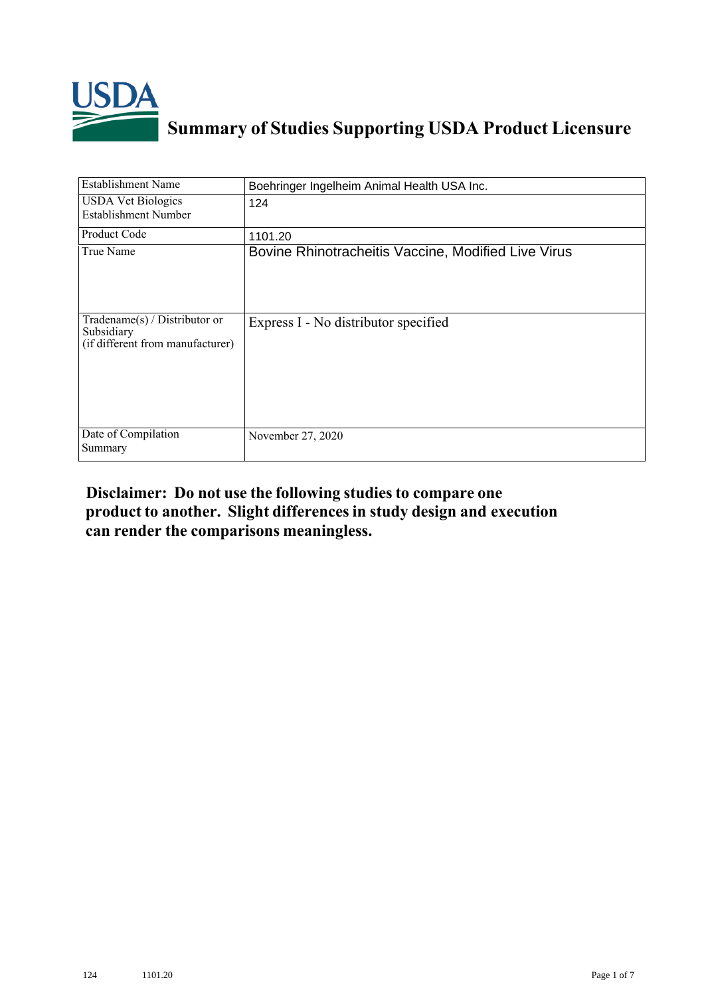

## **Summary of Studies Supporting USDA Product Licensure**

| <b>Establishment Name</b>                                                          | Boehringer Ingelheim Animal Health USA Inc.         |
|------------------------------------------------------------------------------------|-----------------------------------------------------|
| <b>USDA Vet Biologics</b><br>Establishment Number                                  | 124                                                 |
| Product Code                                                                       | 1101.20                                             |
| True Name                                                                          | Bovine Rhinotracheitis Vaccine, Modified Live Virus |
| Tradename $(s)$ / Distributor or<br>Subsidiary<br>(if different from manufacturer) | Express I - No distributor specified                |
| Date of Compilation<br>Summary                                                     | November 27, 2020                                   |

## **Disclaimer: Do not use the following studiesto compare one product to another. Slight differencesin study design and execution can render the comparisons meaningless.**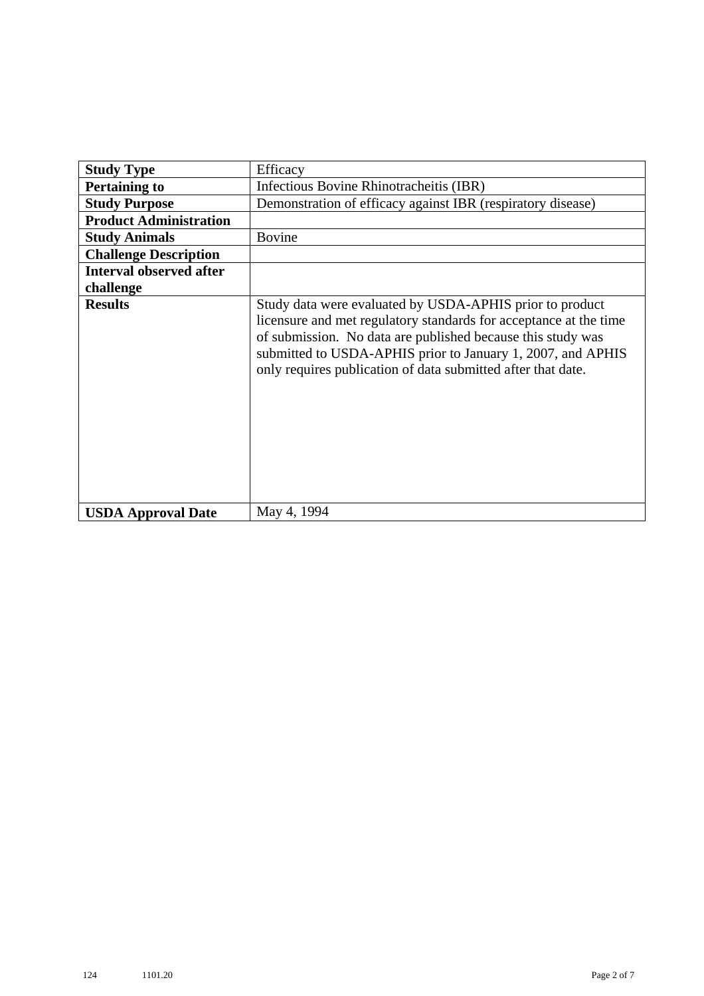| <b>Study Type</b>              | Efficacy                                                                                                                                                                                                                                                                                                                    |
|--------------------------------|-----------------------------------------------------------------------------------------------------------------------------------------------------------------------------------------------------------------------------------------------------------------------------------------------------------------------------|
| <b>Pertaining to</b>           | Infectious Bovine Rhinotracheitis (IBR)                                                                                                                                                                                                                                                                                     |
| <b>Study Purpose</b>           | Demonstration of efficacy against IBR (respiratory disease)                                                                                                                                                                                                                                                                 |
| <b>Product Administration</b>  |                                                                                                                                                                                                                                                                                                                             |
| <b>Study Animals</b>           | <b>Bovine</b>                                                                                                                                                                                                                                                                                                               |
| <b>Challenge Description</b>   |                                                                                                                                                                                                                                                                                                                             |
| <b>Interval observed after</b> |                                                                                                                                                                                                                                                                                                                             |
| challenge                      |                                                                                                                                                                                                                                                                                                                             |
| <b>Results</b>                 | Study data were evaluated by USDA-APHIS prior to product<br>licensure and met regulatory standards for acceptance at the time<br>of submission. No data are published because this study was<br>submitted to USDA-APHIS prior to January 1, 2007, and APHIS<br>only requires publication of data submitted after that date. |
| <b>USDA Approval Date</b>      | May 4, 1994                                                                                                                                                                                                                                                                                                                 |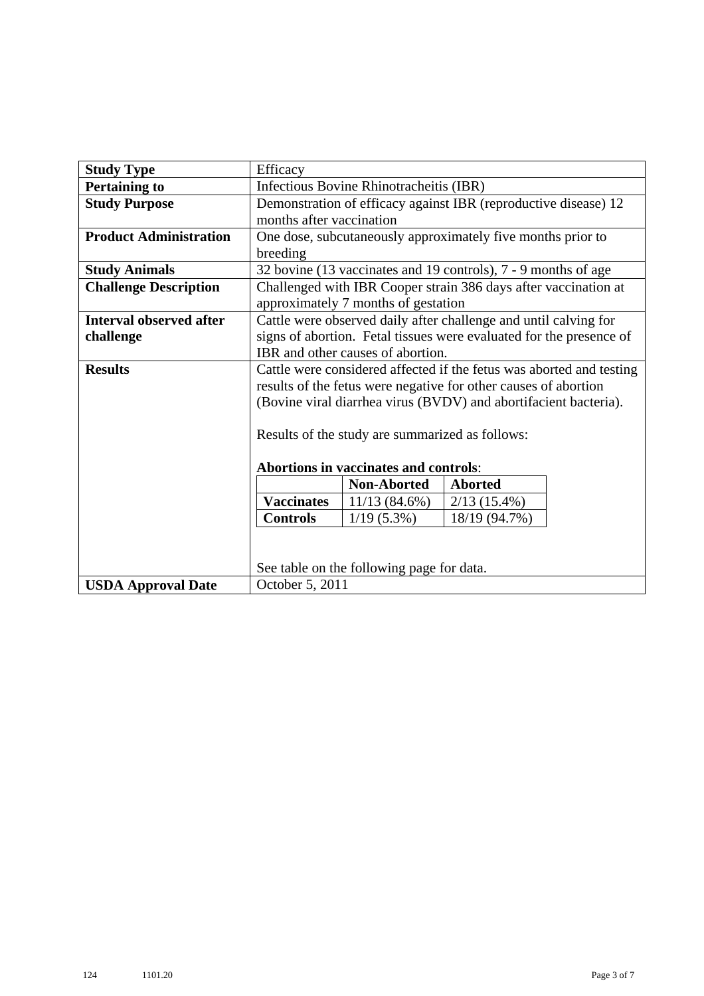| <b>Study Type</b>              | Efficacy                                                             |                                           |                                                                     |  |
|--------------------------------|----------------------------------------------------------------------|-------------------------------------------|---------------------------------------------------------------------|--|
| <b>Pertaining to</b>           | Infectious Bovine Rhinotracheitis (IBR)                              |                                           |                                                                     |  |
| <b>Study Purpose</b>           | Demonstration of efficacy against IBR (reproductive disease) 12      |                                           |                                                                     |  |
|                                | months after vaccination                                             |                                           |                                                                     |  |
| <b>Product Administration</b>  | One dose, subcutaneously approximately five months prior to          |                                           |                                                                     |  |
|                                | breeding                                                             |                                           |                                                                     |  |
| <b>Study Animals</b>           |                                                                      |                                           | 32 bovine (13 vaccinates and 19 controls), 7 - 9 months of age      |  |
| <b>Challenge Description</b>   | Challenged with IBR Cooper strain 386 days after vaccination at      |                                           |                                                                     |  |
|                                |                                                                      | approximately 7 months of gestation       |                                                                     |  |
| <b>Interval observed after</b> | Cattle were observed daily after challenge and until calving for     |                                           |                                                                     |  |
| challenge                      |                                                                      |                                           | signs of abortion. Fetal tissues were evaluated for the presence of |  |
|                                |                                                                      | IBR and other causes of abortion.         |                                                                     |  |
| <b>Results</b>                 | Cattle were considered affected if the fetus was aborted and testing |                                           |                                                                     |  |
|                                |                                                                      |                                           | results of the fetus were negative for other causes of abortion     |  |
|                                |                                                                      |                                           | (Bovine viral diarrhea virus (BVDV) and abortifacient bacteria).    |  |
|                                |                                                                      |                                           |                                                                     |  |
|                                | Results of the study are summarized as follows:                      |                                           |                                                                     |  |
|                                | Abortions in vaccinates and controls:                                |                                           |                                                                     |  |
|                                |                                                                      |                                           |                                                                     |  |
|                                |                                                                      | <b>Non-Aborted</b>                        | <b>Aborted</b>                                                      |  |
|                                | <b>Vaccinates</b>                                                    | $11/13(84.6\%)$                           | $2/13(15.4\%)$                                                      |  |
|                                | <b>Controls</b>                                                      | $1/19(5.3\%)$                             | 18/19 (94.7%)                                                       |  |
|                                |                                                                      |                                           |                                                                     |  |
|                                |                                                                      |                                           |                                                                     |  |
|                                |                                                                      | See table on the following page for data. |                                                                     |  |
| <b>USDA Approval Date</b>      | October 5, 2011                                                      |                                           |                                                                     |  |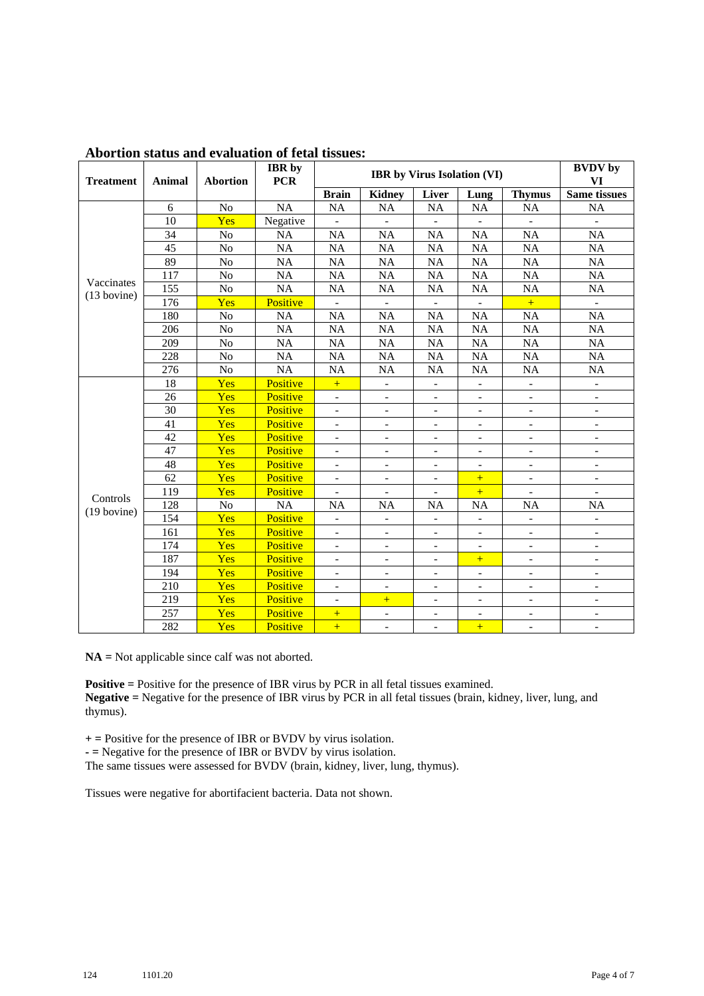| <b>Treatment</b> | <b>Animal</b> | <b>Abortion</b> | <b>IBR</b> by<br><b>PCR</b> | <b>IBR</b> by Virus Isolation (VI) |                              |                          |                              |                          | <b>BVDV</b> by<br>VI         |
|------------------|---------------|-----------------|-----------------------------|------------------------------------|------------------------------|--------------------------|------------------------------|--------------------------|------------------------------|
|                  |               |                 |                             | <b>Brain</b>                       | <b>Kidney</b>                | Liver                    | Lung                         | <b>Thymus</b>            | <b>Same tissues</b>          |
|                  | 6             | N <sub>o</sub>  | <b>NA</b>                   | <b>NA</b>                          | <b>NA</b>                    | <b>NA</b>                | NA                           | NA                       | <b>NA</b>                    |
|                  | 10            | Yes             | Negative                    |                                    | $\frac{1}{2}$                |                          |                              |                          |                              |
|                  | 34            | No              | <b>NA</b>                   | <b>NA</b>                          | <b>NA</b>                    | <b>NA</b>                | <b>NA</b>                    | <b>NA</b>                | <b>NA</b>                    |
|                  | 45            | No              | <b>NA</b>                   | <b>NA</b>                          | <b>NA</b>                    | <b>NA</b>                | <b>NA</b>                    | <b>NA</b>                | <b>NA</b>                    |
|                  | 89            | No              | <b>NA</b>                   | <b>NA</b>                          | <b>NA</b>                    | <b>NA</b>                | <b>NA</b>                    | NA                       | <b>NA</b>                    |
| Vaccinates       | 117           | N <sub>o</sub>  | <b>NA</b>                   | <b>NA</b>                          | <b>NA</b>                    | <b>NA</b>                | <b>NA</b>                    | <b>NA</b>                | NA                           |
| $(13$ bovine)    | 155           | N <sub>o</sub>  | <b>NA</b>                   | <b>NA</b>                          | <b>NA</b>                    | <b>NA</b>                | <b>NA</b>                    | <b>NA</b>                | <b>NA</b>                    |
|                  | 176           | Yes             | Positive                    | $\overline{a}$                     | $\overline{a}$               | $\overline{a}$           | $\overline{a}$               | $+$                      | $\overline{a}$               |
|                  | 180           | No              | <b>NA</b>                   | <b>NA</b>                          | <b>NA</b>                    | <b>NA</b>                | <b>NA</b>                    | <b>NA</b>                | <b>NA</b>                    |
|                  | 206           | N <sub>o</sub>  | <b>NA</b>                   | <b>NA</b>                          | <b>NA</b>                    | <b>NA</b>                | <b>NA</b>                    | <b>NA</b>                | <b>NA</b>                    |
| 209<br>228       |               | No              | <b>NA</b>                   | <b>NA</b>                          | <b>NA</b>                    | <b>NA</b>                | <b>NA</b>                    | <b>NA</b>                | <b>NA</b>                    |
|                  |               | N <sub>o</sub>  | <b>NA</b>                   | <b>NA</b>                          | <b>NA</b>                    | <b>NA</b>                | <b>NA</b>                    | <b>NA</b>                | <b>NA</b>                    |
|                  | 276           | No              | <b>NA</b>                   | <b>NA</b>                          | <b>NA</b>                    | <b>NA</b>                | <b>NA</b>                    | NA                       | NA                           |
|                  | 18            | Yes             | Positive                    | $+$                                | $\overline{\phantom{a}}$     | $\overline{\phantom{a}}$ | $\blacksquare$               | ÷,                       | $\overline{\phantom{a}}$     |
|                  | 26            | Yes             | Positive                    | $\equiv$                           | $\overline{a}$               | $\overline{\phantom{a}}$ | $\overline{\phantom{a}}$     | $\equiv$                 | $\blacksquare$               |
|                  | 30            | Yes             | Positive                    | $\overline{\phantom{0}}$           | $\overline{a}$               | $\frac{1}{2}$            | $\overline{\phantom{a}}$     | $\overline{\phantom{0}}$ | $\overline{\phantom{a}}$     |
|                  | 41            | Yes             | Positive                    | $\overline{\phantom{a}}$           | $\overline{\phantom{a}}$     | $\overline{\phantom{a}}$ | $\overline{\phantom{a}}$     | $\overline{\phantom{a}}$ | $\overline{\phantom{a}}$     |
|                  | 42            | Yes             | Positive                    | $\frac{1}{2}$                      | $\overline{\phantom{a}}$     | $\overline{\phantom{a}}$ | $\overline{\phantom{a}}$     | $\overline{\phantom{a}}$ | $\blacksquare$               |
|                  | 47            | Yes             | Positive                    | $\overline{\phantom{0}}$           | $\overline{\phantom{a}}$     | $\overline{\phantom{0}}$ | $\overline{\phantom{a}}$     | $\overline{\phantom{0}}$ | $\blacksquare$               |
|                  | 48            | Yes             | Positive                    | $\overline{\phantom{0}}$           | $\qquad \qquad \blacksquare$ | -                        | $\qquad \qquad \blacksquare$ | $\overline{\phantom{0}}$ | $\overline{\phantom{a}}$     |
|                  | 62            | Yes             | Positive                    | $\overline{\phantom{a}}$           | $\qquad \qquad \blacksquare$ | $\overline{\phantom{0}}$ | $+$                          | $\overline{\phantom{a}}$ | $\overline{\phantom{a}}$     |
| Controls         | 119           | Yes             | Positive                    | $\overline{\phantom{a}}$           | $\overline{\phantom{a}}$     | $\overline{\phantom{a}}$ | $+$                          | $\overline{\phantom{a}}$ | $\overline{\phantom{a}}$     |
| $(19$ bovine)    | 128           | $\rm No$        | <b>NA</b>                   | <b>NA</b>                          | <b>NA</b>                    | <b>NA</b>                | <b>NA</b>                    | <b>NA</b>                | <b>NA</b>                    |
|                  | 154           | Yes             | Positive                    | $\overline{\phantom{0}}$           | $\overline{\phantom{a}}$     | $\frac{1}{2}$            | $\overline{\phantom{a}}$     | $\frac{1}{2}$            |                              |
|                  | 161           | Yes             | Positive                    | $\overline{\phantom{0}}$           | $\frac{1}{2}$                | $\overline{\phantom{a}}$ | $\overline{\phantom{0}}$     | $\frac{1}{2}$            | $\overline{\phantom{a}}$     |
|                  | 174           | Yes             | Positive                    | $\overline{\phantom{a}}$           | $\overline{\phantom{a}}$     | $\frac{1}{2}$            | $\blacksquare$               | $\overline{\phantom{a}}$ | $\blacksquare$               |
|                  | 187           | Yes             | Positive                    | $\frac{1}{2}$                      | $\frac{1}{2}$                | $\overline{\phantom{a}}$ | $+$                          | $\overline{a}$           | $\blacksquare$               |
|                  | 194           | Yes             | Positive                    | $\overline{\phantom{0}}$           | $\qquad \qquad \blacksquare$ | $\overline{\phantom{0}}$ | $\overline{\phantom{a}}$     | $\overline{\phantom{0}}$ | $\qquad \qquad \blacksquare$ |
|                  | 210           | Yes             | Positive                    | $\overline{\phantom{a}}$           | $\overline{\phantom{a}}$     | $\blacksquare$           | $\overline{\phantom{a}}$     | $\overline{\phantom{0}}$ | $\blacksquare$               |
|                  | 219           | Yes             | Positive                    | $\overline{\phantom{0}}$           | $+$                          | $\overline{\phantom{a}}$ | $\overline{\phantom{a}}$     | $\overline{\phantom{a}}$ | $\overline{\phantom{a}}$     |
|                  | 257           | Yes             | Positive                    | $+$                                | $\overline{a}$               | $\overline{a}$           | $\blacksquare$               | $\equiv$                 | $\blacksquare$               |
|                  | 282           | Yes             | Positive                    | $+$                                | $\overline{\phantom{0}}$     | $\frac{1}{2}$            | $+$                          | $\overline{\phantom{0}}$ |                              |

## **Abortion status and evaluation of fetal tissues:**

**NA =** Not applicable since calf was not aborted.

**Positive =** Positive for the presence of IBR virus by PCR in all fetal tissues examined. **Negative =** Negative for the presence of IBR virus by PCR in all fetal tissues (brain, kidney, liver, lung, and thymus).

**+ =** Positive for the presence of IBR or BVDV by virus isolation.

**- =** Negative for the presence of IBR or BVDV by virus isolation.

The same tissues were assessed for BVDV (brain, kidney, liver, lung, thymus).

Tissues were negative for abortifacient bacteria. Data not shown.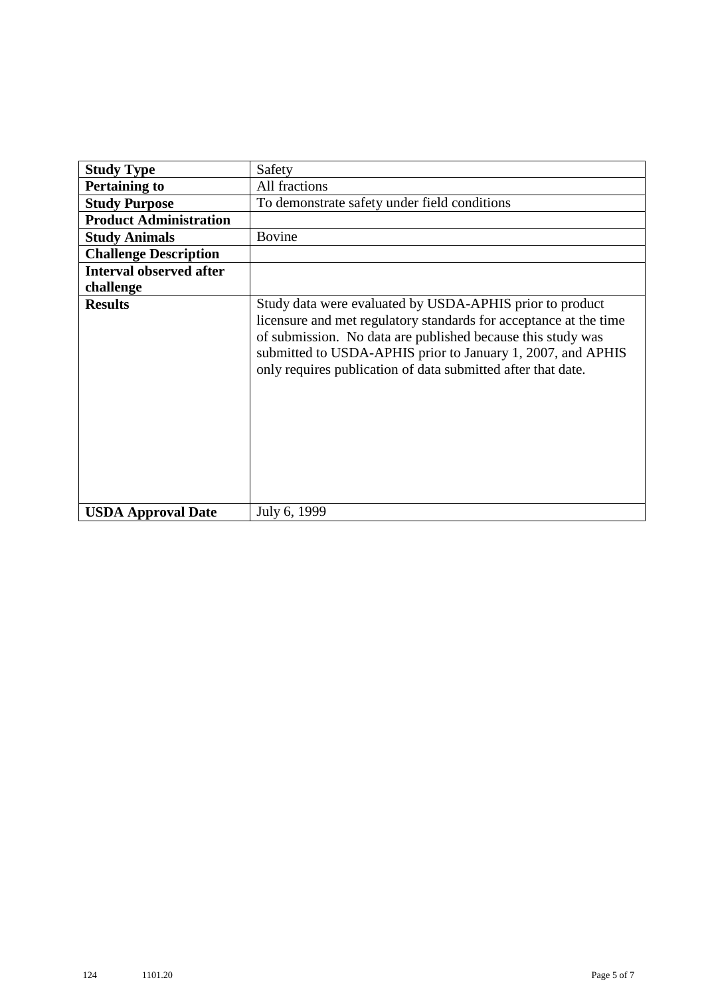| <b>Study Type</b>              | Safety                                                                                                                                                                                                                                                                                                                      |  |  |
|--------------------------------|-----------------------------------------------------------------------------------------------------------------------------------------------------------------------------------------------------------------------------------------------------------------------------------------------------------------------------|--|--|
| <b>Pertaining to</b>           | All fractions                                                                                                                                                                                                                                                                                                               |  |  |
| <b>Study Purpose</b>           | To demonstrate safety under field conditions                                                                                                                                                                                                                                                                                |  |  |
| <b>Product Administration</b>  |                                                                                                                                                                                                                                                                                                                             |  |  |
| <b>Study Animals</b>           | <b>Bovine</b>                                                                                                                                                                                                                                                                                                               |  |  |
| <b>Challenge Description</b>   |                                                                                                                                                                                                                                                                                                                             |  |  |
| <b>Interval observed after</b> |                                                                                                                                                                                                                                                                                                                             |  |  |
| challenge                      |                                                                                                                                                                                                                                                                                                                             |  |  |
| <b>Results</b>                 | Study data were evaluated by USDA-APHIS prior to product<br>licensure and met regulatory standards for acceptance at the time<br>of submission. No data are published because this study was<br>submitted to USDA-APHIS prior to January 1, 2007, and APHIS<br>only requires publication of data submitted after that date. |  |  |
| <b>USDA Approval Date</b>      | July 6, 1999                                                                                                                                                                                                                                                                                                                |  |  |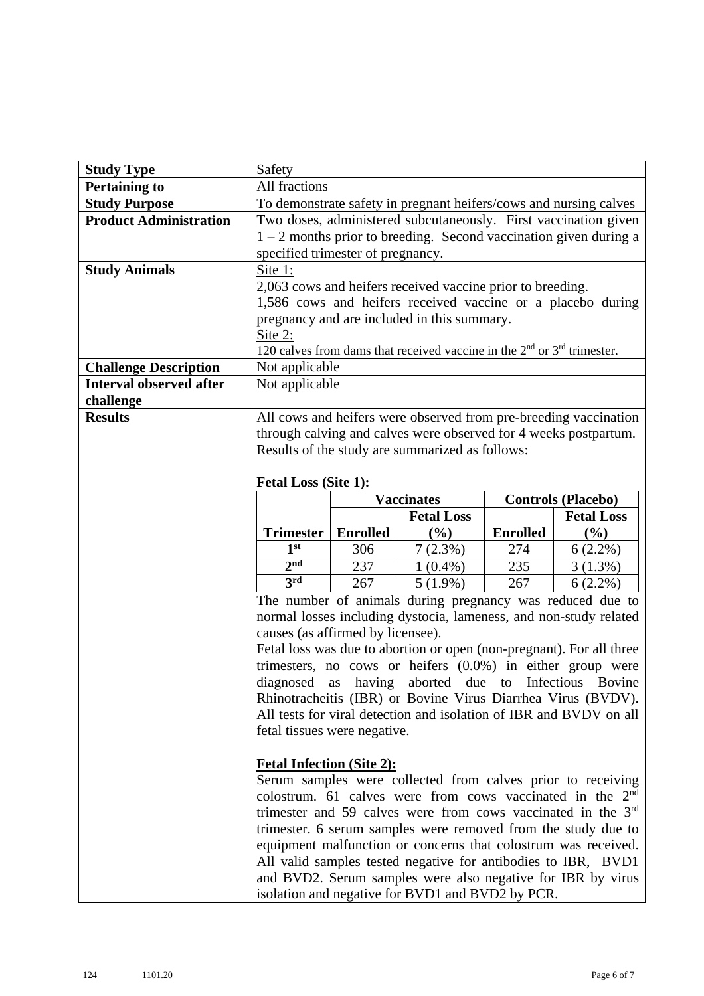| <b>Study Type</b>              | Safety                                                                                                                     |                 |                                                                                                                                      |                 |                           |
|--------------------------------|----------------------------------------------------------------------------------------------------------------------------|-----------------|--------------------------------------------------------------------------------------------------------------------------------------|-----------------|---------------------------|
| <b>Pertaining to</b>           | All fractions                                                                                                              |                 |                                                                                                                                      |                 |                           |
| <b>Study Purpose</b>           | To demonstrate safety in pregnant heifers/cows and nursing calves                                                          |                 |                                                                                                                                      |                 |                           |
| <b>Product Administration</b>  | Two doses, administered subcutaneously. First vaccination given                                                            |                 |                                                                                                                                      |                 |                           |
|                                | $1 - 2$ months prior to breeding. Second vaccination given during a                                                        |                 |                                                                                                                                      |                 |                           |
|                                | specified trimester of pregnancy.                                                                                          |                 |                                                                                                                                      |                 |                           |
| <b>Study Animals</b>           | Site 1:                                                                                                                    |                 |                                                                                                                                      |                 |                           |
|                                |                                                                                                                            |                 | 2,063 cows and heifers received vaccine prior to breeding.                                                                           |                 |                           |
|                                |                                                                                                                            |                 | 1,586 cows and heifers received vaccine or a placebo during                                                                          |                 |                           |
|                                |                                                                                                                            |                 | pregnancy and are included in this summary.                                                                                          |                 |                           |
|                                | Site 2:                                                                                                                    |                 |                                                                                                                                      |                 |                           |
|                                |                                                                                                                            |                 | 120 calves from dams that received vaccine in the $2nd$ or $3rd$ trimester.                                                          |                 |                           |
| <b>Challenge Description</b>   | Not applicable                                                                                                             |                 |                                                                                                                                      |                 |                           |
| <b>Interval observed after</b> | Not applicable                                                                                                             |                 |                                                                                                                                      |                 |                           |
| challenge                      |                                                                                                                            |                 |                                                                                                                                      |                 |                           |
| <b>Results</b>                 |                                                                                                                            |                 | All cows and heifers were observed from pre-breeding vaccination<br>through calving and calves were observed for 4 weeks postpartum. |                 |                           |
|                                |                                                                                                                            |                 | Results of the study are summarized as follows:                                                                                      |                 |                           |
|                                |                                                                                                                            |                 |                                                                                                                                      |                 |                           |
|                                | <b>Fetal Loss (Site 1):</b>                                                                                                |                 |                                                                                                                                      |                 |                           |
|                                |                                                                                                                            |                 | <b>Vaccinates</b>                                                                                                                    |                 | <b>Controls (Placebo)</b> |
|                                |                                                                                                                            |                 | <b>Fetal Loss</b>                                                                                                                    |                 | <b>Fetal Loss</b>         |
|                                | <b>Trimester</b>                                                                                                           | <b>Enrolled</b> | (%)                                                                                                                                  | <b>Enrolled</b> | $(\%)$                    |
|                                | 1 <sup>st</sup>                                                                                                            | 306             | 7(2.3%)                                                                                                                              | 274             | $6(2.2\%)$                |
|                                | 2 <sub>nd</sub>                                                                                                            | 237             | $1(0.4\%)$                                                                                                                           | 235             | 3(1.3%)                   |
|                                | 3rd                                                                                                                        | 267             | $5(1.9\%)$                                                                                                                           | 267             | $6(2.2\%)$                |
|                                | The number of animals during pregnancy was reduced due to                                                                  |                 |                                                                                                                                      |                 |                           |
|                                |                                                                                                                            |                 | normal losses including dystocia, lameness, and non-study related                                                                    |                 |                           |
|                                | causes (as affirmed by licensee).                                                                                          |                 |                                                                                                                                      |                 |                           |
|                                | Fetal loss was due to abortion or open (non-pregnant). For all three                                                       |                 |                                                                                                                                      |                 |                           |
|                                | trimesters, no cows or heifers $(0.0\%)$ in either group were                                                              |                 |                                                                                                                                      |                 |                           |
|                                | diagnosed as having aborted due to Infectious Bovine                                                                       |                 |                                                                                                                                      |                 |                           |
|                                | Rhinotracheitis (IBR) or Bovine Virus Diarrhea Virus (BVDV).                                                               |                 |                                                                                                                                      |                 |                           |
|                                | All tests for viral detection and isolation of IBR and BVDV on all<br>fetal tissues were negative.                         |                 |                                                                                                                                      |                 |                           |
|                                |                                                                                                                            |                 |                                                                                                                                      |                 |                           |
|                                | <b>Fetal Infection (Site 2):</b>                                                                                           |                 |                                                                                                                                      |                 |                           |
|                                |                                                                                                                            |                 |                                                                                                                                      |                 |                           |
|                                | Serum samples were collected from calves prior to receiving<br>colostrum. 61 calves were from cows vaccinated in the $2nd$ |                 |                                                                                                                                      |                 |                           |
|                                | trimester and 59 calves were from cows vaccinated in the 3 <sup>rd</sup>                                                   |                 |                                                                                                                                      |                 |                           |
|                                | trimester. 6 serum samples were removed from the study due to                                                              |                 |                                                                                                                                      |                 |                           |
|                                |                                                                                                                            |                 |                                                                                                                                      |                 |                           |
|                                |                                                                                                                            |                 |                                                                                                                                      |                 |                           |
|                                |                                                                                                                            |                 | equipment malfunction or concerns that colostrum was received.                                                                       |                 |                           |
|                                |                                                                                                                            |                 | All valid samples tested negative for antibodies to IBR, BVD1<br>and BVD2. Serum samples were also negative for IBR by virus         |                 |                           |